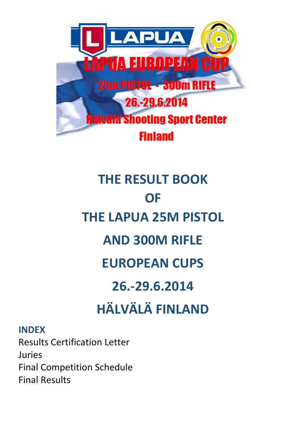

# **THE RESULT BOOK OF THE LAPUA 25M PISTOL AND 300M RIFLE EUROPEAN CUPS 26.-29.6.2014 HÄLVÄLÄ FINLAND**

# **INDEX**

Results Certification Letter Juries Final Competition Schedule Final Results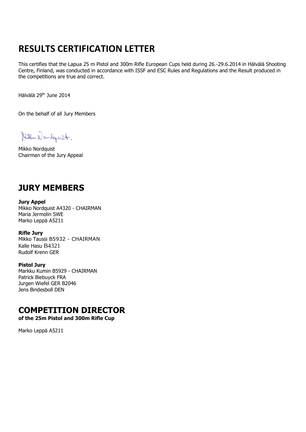# **RESULTS CERTIFICATION LETTER**

This certifies that the Lapua 25 m Pistol and 300m Rifle European Cups held during 26.-29.6.2014 in Hälvälä Shooting Centre, Finland, was conducted in accordance with ISSF and ESC Rules and Regulations and the Result produced in the competitions are true and correct.

Hälvälä 29th June 2014

On the behalf of all Jury Members

Nella Non-Squit.

Mikko Nordquist Chairman of the Jury Appeal

# **JURY MEMBERS**

**Jury Appel** Mikko Nordquist A4320 - CHAIRMAN Maria Jermolin SWE Marko Leppä A5211

**Rifle Jury** Mikko Taussi B5932 - CHAIRMAN Kalle Hasu B4321 Rudolf Krenn GER

**Pistol Jury**  Markku Kumin B5929 - CHAIRMAN Patrick Biebuyck FRA Jurgen Wiefel GER B2046 Jens Bindesboll DEN

# **COMPETITION DIRECTOR**

**of the 25m Pistol and 300m Rifle Cup**

Marko Leppä A5211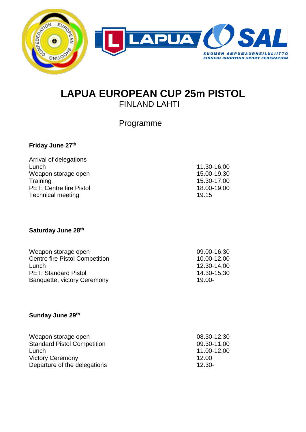

# **LAPUA EUROPEAN CUP 25m PISTOL** FINLAND LAHTI

Programme

# **Friday June 27th**

| Arrival of delegations         |             |
|--------------------------------|-------------|
| Lunch                          | 11.30-16.00 |
| Weapon storage open            | 15.00-19.30 |
| Training                       | 15.30-17.00 |
| <b>PET: Centre fire Pistol</b> | 18.00-19.00 |
| <b>Technical meeting</b>       | 19.15       |

## **Saturday June 28th**

| Weapon storage open                   | 09.00-16.30 |
|---------------------------------------|-------------|
| <b>Centre fire Pistol Competition</b> | 10.00-12.00 |
| Lunch                                 | 12.30-14.00 |
| <b>PET: Standard Pistol</b>           | 14.30-15.30 |
| Banquette, victory Ceremony           | $19.00 -$   |
|                                       |             |

## **Sunday June 29th**

| Weapon storage open                | 08.30-12.30 |
|------------------------------------|-------------|
| <b>Standard Pistol Competition</b> | 09.30-11.00 |
| Lunch                              | 11.00-12.00 |
| <b>Victory Ceremony</b>            | 12.00       |
| Departure of the delegations       | $12.30 -$   |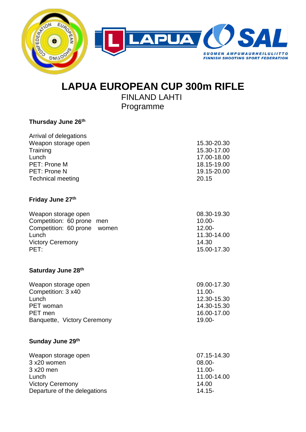

# **LAPUA EUROPEAN CUP 300m RIFLE**

 FINLAND LAHTI Programme

#### **Thursday June 26th**

| Arrival of delegations   |             |
|--------------------------|-------------|
| Weapon storage open      | 15.30-20.30 |
| Training                 | 15.30-17.00 |
| Lunch                    | 17.00-18.00 |
| PET: Prone M             | 18.15-19.00 |
| PET: Prone N             | 19.15-20.00 |
| <b>Technical meeting</b> | 20.15       |

## **Friday June 27th**

| Weapon storage open         | 08.30-19.30 |
|-----------------------------|-------------|
| Competition: 60 prone men   | $10.00 -$   |
| Competition: 60 prone women | $12.00 -$   |
| Lunch                       | 11.30-14.00 |
| <b>Victory Ceremony</b>     | 14.30       |
| PET:                        | 15.00-17.30 |

#### **Saturday June 28th**

| Weapon storage open         | 09.00-17.30 |
|-----------------------------|-------------|
| Competition: 3 x40          | $11.00 -$   |
| Lunch                       | 12.30-15.30 |
| PET woman                   | 14.30-15.30 |
| PET men                     | 16.00-17.00 |
| Banquette, Victory Ceremony | $19.00 -$   |

#### **Sunday June 29th**

| Weapon storage open          | 07.15-14.30 |
|------------------------------|-------------|
| 3 x20 women                  | 08.00-      |
| 3 x20 men                    | $11.00 -$   |
| Lunch                        | 11.00-14.00 |
| <b>Victory Ceremony</b>      | 14.00       |
| Departure of the delegations | $14.15 -$   |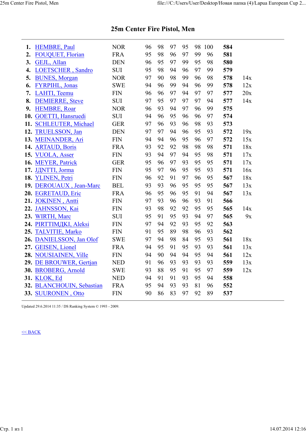| 1. | <b>HEMBRE, Paul</b>                                        | <b>NOR</b> | 96 | 98 | 97 | 95 | 98 | 100 | 584 |     |
|----|------------------------------------------------------------|------------|----|----|----|----|----|-----|-----|-----|
| 2. | <b>FOUQUET, Florian</b>                                    | <b>FRA</b> | 95 | 98 | 96 | 97 | 99 | 96  | 581 |     |
| 3. | GEJL, Allan                                                | <b>DEN</b> | 96 | 95 | 97 | 99 | 95 | 98  | 580 |     |
| 4. | LOETSCHER, Sandro                                          | <b>SUI</b> | 95 | 98 | 94 | 96 | 97 | 99  | 579 |     |
| 5. | <b>BUNES, Morgan</b>                                       | <b>NOR</b> | 97 | 90 | 98 | 99 | 96 | 98  | 578 | 14x |
| 6. | <b>FYRPIHL, Jonas</b>                                      | <b>SWE</b> | 94 | 96 | 99 | 94 | 96 | 99  | 578 | 12x |
| 7. | LAHTI, Teemu                                               | <b>FIN</b> | 96 | 96 | 97 | 94 | 97 | 97  | 577 | 20x |
| 8. | <b>DEMIERRE, Steve</b>                                     | <b>SUI</b> | 97 | 95 | 97 | 97 | 97 | 94  | 577 | 14x |
| 9. | <b>HEMBRE, Roar</b>                                        | <b>NOR</b> | 96 | 93 | 94 | 97 | 96 | 99  | 575 |     |
|    | 10. GOETTI, Hansruedi                                      | <b>SUI</b> | 94 | 96 | 95 | 96 | 96 | 97  | 574 |     |
|    | 11. SCHLEUTER, Michael                                     | <b>GER</b> | 97 | 96 | 93 | 96 | 98 | 93  | 573 |     |
|    | 12. TRUELSSON, Jan                                         | <b>DEN</b> | 97 | 97 | 94 | 96 | 95 | 93  | 572 | 19x |
|    | 13. MEINANDER, Ari                                         | <b>FIN</b> | 94 | 94 | 96 | 95 | 96 | 97  | 572 | 15x |
|    | 14. ARTAUD, Boris                                          | <b>FRA</b> | 93 | 92 | 92 | 98 | 98 | 98  | 571 | 18x |
|    | 15. VUOLA, Asser                                           | <b>FIN</b> | 93 | 94 | 97 | 94 | 95 | 98  | 571 | 17x |
|    | 16. MEYER, Patrick                                         | <b>GER</b> | 95 | 96 | 97 | 93 | 95 | 95  | 571 | 17x |
|    | 17. JДNTTI, Jorma                                          | <b>FIN</b> | 95 | 97 | 96 | 95 | 95 | 93  | 571 | 16x |
|    | 18. YLINEN, Petri                                          | <b>FIN</b> | 96 | 92 | 91 | 97 | 96 | 95  | 567 | 18x |
|    | 19. DEROUAUX, Jean-Marc                                    | <b>BEL</b> | 93 | 93 | 96 | 95 | 95 | 95  | 567 | 13x |
|    | 20. EGRETAUD, Eric                                         | <b>FRA</b> | 96 | 95 | 96 | 95 | 91 | 94  | 567 | 13x |
|    | 21. JOKINEN, Antti                                         | <b>FIN</b> | 97 | 93 | 96 | 96 | 93 | 91  | 566 |     |
|    | 22. JAHNSSON, Kai                                          | <b>FIN</b> | 93 | 98 | 92 | 92 | 95 | 95  | 565 | 14x |
|    | 23. WIRTH, Marc                                            | <b>SUI</b> | 95 | 91 | 95 | 93 | 94 | 97  | 565 | 9x  |
|    | 24. PIRTTIMДKI, Aleksi                                     | <b>FIN</b> | 97 | 94 | 92 | 93 | 95 | 92  | 563 |     |
|    | 25. TALVITIE, Marko                                        | <b>FIN</b> | 91 | 95 | 89 | 98 | 96 | 93  | 562 |     |
|    | 26. DANIELSSON, Jan Olof                                   | <b>SWE</b> | 97 | 94 | 98 | 84 | 95 | 93  | 561 | 18x |
|    | 27. GEISEN, Lionel                                         | <b>FRA</b> | 94 | 95 | 91 | 95 | 93 | 93  | 561 | 13x |
|    | 28. NOUSIAINEN, Ville                                      | <b>FIN</b> | 94 | 90 | 94 | 94 | 95 | 94  | 561 | 12x |
|    | 29. DE BROUWER, Gertjan                                    | <b>NED</b> | 91 | 96 | 93 | 93 | 93 | 93  | 559 | 13x |
|    | 30. BROBERG, Arnold                                        | <b>SWE</b> | 93 | 88 | 95 | 91 | 95 | 97  | 559 | 12x |
|    | 31. KLOK, Ed                                               | <b>NED</b> | 94 | 91 | 91 | 93 | 95 | 94  | 558 |     |
|    | 32. BLANCHOUIN, Sebastian                                  | <b>FRA</b> | 95 | 94 | 93 | 93 | 81 | 96  | 552 |     |
|    | 33. SUURONEN, Otto                                         | <b>FIN</b> | 90 | 86 | 83 | 97 | 92 | 89  | 537 |     |
|    | Updated 29.6.2014 11:35 / DS Ranking System © 1993 - 2009. |            |    |    |    |    |    |     |     |     |

# **25m Center Fire Pistol, Men**

#### $<<$  BACK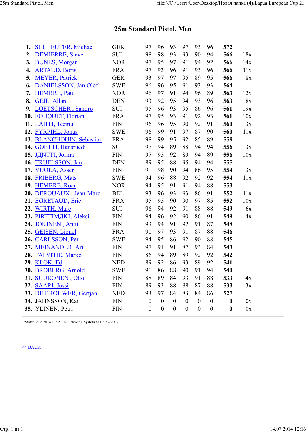| 1. | <b>SCHLEUTER, Michael</b> | <b>GER</b> | 97               | 96               | 93               | 97               | 93               | 96               | 572              |     |
|----|---------------------------|------------|------------------|------------------|------------------|------------------|------------------|------------------|------------------|-----|
| 2. | <b>DEMIERRE, Steve</b>    | <b>SUI</b> | 98               | 98               | 93               | 93               | 90               | 94               | 566              | 18x |
| 3. | <b>BUNES, Morgan</b>      | <b>NOR</b> | 97               | 95               | 97               | 91               | 94               | 92               | 566              | 14x |
| 4. | <b>ARTAUD, Boris</b>      | <b>FRA</b> | 97               | 93               | 96               | 91               | 93               | 96               | 566              | 11x |
| 5. | <b>MEYER, Patrick</b>     | <b>GER</b> | 93               | 97               | 97               | 95               | 89               | 95               | 566              | 8x  |
| 6. | DANIELSSON, Jan Olof      | <b>SWE</b> | 96               | 96               | 95               | 91               | 93               | 93               | 564              |     |
| 7. | <b>HEMBRE, Paul</b>       | <b>NOR</b> | 96               | 97               | 91               | 94               | 96               | 89               | 563              | 12x |
| 8. | GEJL, Allan               | <b>DEN</b> | 93               | 92               | 95               | 94               | 93               | 96               | 563              | 8x  |
| 9. | LOETSCHER, Sandro         | <b>SUI</b> | 95               | 96               | 93               | 95               | 86               | 96               | 561              | 19x |
|    | 10. FOUQUET, Florian      | <b>FRA</b> | 97               | 95               | 93               | 91               | 92               | 93               | 561              | 10x |
|    | 11. LAHTI, Teemu          | <b>FIN</b> | 96               | 96               | 95               | 90               | 92               | 91               | 560              | 13x |
|    | 12. FYRPIHL, Jonas        | <b>SWE</b> | 96               | 99               | 91               | 97               | 87               | 90               | 560              | 11x |
|    | 13. BLANCHOUIN, Sebastian | <b>FRA</b> | 98               | 99               | 95               | 92               | 85               | 89               | 558              |     |
|    | 14. GOETTI, Hansruedi     | <b>SUI</b> | 97               | 94               | 89               | 88               | 94               | 94               | 556              | 13x |
|    | 15. JANTTI, Jorma         | <b>FIN</b> | 97               | 95               | 92               | 89               | 94               | 89               | 556              | 10x |
|    | 16. TRUELSSON, Jan        | <b>DEN</b> | 89               | 95               | 88               | 95               | 94               | 94               | 555              |     |
|    | 17. VUOLA, Asser          | <b>FIN</b> | 91               | 98               | 90               | 94               | 86               | 95               | 554              | 13x |
|    | 18. FRIBERG, Mats         | <b>SWE</b> | 94               | 96               | 88               | 92               | 92               | 92               | 554              | 11x |
|    | 19. HEMBRE, Roar          | <b>NOR</b> | 94               | 95               | 91               | 91               | 94               | 88               | 553              |     |
|    | 20. DEROUAUX, Jean-Marc   | <b>BEL</b> | 93               | 96               | 93               | 93               | 86               | 91               | 552              | 11x |
|    | 21. EGRETAUD, Eric        | <b>FRA</b> | 95               | 95               | 90               | 90               | 97               | 85               | 552              | 10x |
|    | 22. WIRTH, Marc           | <b>SUI</b> | 96               | 94               | 92               | 91               | 88               | 88               | 549              | 6x  |
|    | 23. PIRTTIMДKI, Aleksi    | <b>FIN</b> | 94               | 96               | 92               | 90               | 86               | 91               | 549              | 4x  |
|    | 24. JOKINEN, Antti        | <b>FIN</b> | 93               | 94               | 91               | 92               | 91               | 87               | 548              |     |
|    | 25. GEISEN, Lionel        | <b>FRA</b> | 90               | 97               | 93               | 91               | 87               | 88               | 546              |     |
|    | 26. CARLSSON, Per         | <b>SWE</b> | 94               | 95               | 86               | 92               | 90               | 88               | 545              |     |
|    | 27. MEINANDER, Ari        | <b>FIN</b> | 97               | 91               | 91               | 87               | 93               | 84               | 543              |     |
|    | 28. TALVITIE, Marko       | <b>FIN</b> | 86               | 94               | 89               | 89               | 92               | 92               | 542              |     |
|    | 29. KLOK, Ed              | <b>NED</b> | 89               | 92               | 86               | 93               | 89               | 92               | 541              |     |
|    | 30. BROBERG, Arnold       | <b>SWE</b> | 91               | 86               | 88               | 90               | 91               | 94               | 540              |     |
|    | 31. SUURONEN, Otto        | <b>FIN</b> | 88               | 89               | 84               | 93               | 91               | 88               | 533              | 4x  |
|    | 32. SAARI, Jussi          | <b>FIN</b> | 89               | 93               | 88               | 88               | 87               | 88               | 533              | 3x  |
|    | 33. DE BROUWER, Gertjan   | <b>NED</b> | 93               | 97               | 84               | 83               | 84               | 86               | 527              |     |
|    | 34. JAHNSSON, Kai         | <b>FIN</b> | $\boldsymbol{0}$ | $\boldsymbol{0}$ | $\boldsymbol{0}$ | $\boldsymbol{0}$ | $\boldsymbol{0}$ | $\boldsymbol{0}$ | $\boldsymbol{0}$ | 0x  |
|    | 35. YLINEN, Petri         | <b>FIN</b> | $\theta$         | $\boldsymbol{0}$ | $\boldsymbol{0}$ | $\boldsymbol{0}$ | $\boldsymbol{0}$ | $\boldsymbol{0}$ | $\boldsymbol{0}$ | 0x  |
|    |                           |            |                  |                  |                  |                  |                  |                  |                  |     |

# **25m Standard Pistol, Men**

Updated 29.6.2014 11:35 / DS Ranking System © 1993 - 2009.

#### $<<$  BACK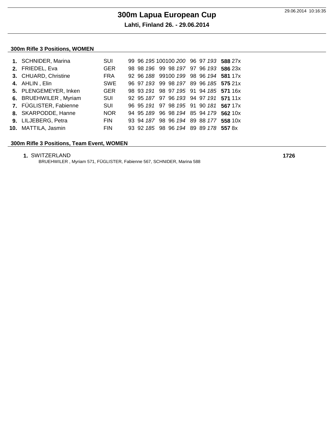#### **300m Rifle 3 Positions, WOMEN**

| 1. SCHNIDER, Marina    | SUI        |  |  |  |  | 99 96 195 100100 200 96 97 193 588 27x |
|------------------------|------------|--|--|--|--|----------------------------------------|
| 2. FRIEDEL, Eva        | <b>GER</b> |  |  |  |  | 98 98 196 99 98 197 97 96 193 586 23x  |
| 3. CHUARD, Christine   | <b>FRA</b> |  |  |  |  | 92 96 188 99100 199 98 96 194 581 17x  |
| 4. AHLIN, Elin         | <b>SWE</b> |  |  |  |  | 96 97 193 99 98 197 89 96 185 575 21x  |
| 5. PLENGEMEYER, Inken  | <b>GER</b> |  |  |  |  | 98 93 191 98 97 195 91 94 185 571 16x  |
| 6. BRUEHWILER, Myriam  | <b>SUI</b> |  |  |  |  | 92 95 187 97 96 193 94 97 191 571 11x  |
| 7. FÜGLISTER, Fabienne | <b>SUI</b> |  |  |  |  | 96 95 191 97 98 195 91 90 181 567 17x  |
| 8. SKARPODDE, Hanne    | <b>NOR</b> |  |  |  |  | 94 95 189 96 98 194 85 94 179 562 10x  |
| 9. LILJEBERG, Petra    | <b>FIN</b> |  |  |  |  | 93 94 187 98 96 194 89 88 177 558 10x  |
| 10. MATTILA, Jasmin    | <b>FIN</b> |  |  |  |  | 93 92 185 98 96 194 89 89 178 557 8x   |

#### **300m Rifle 3 Positions, Team Event, WOMEN**

| 1. SWITZERLAND | 1726 |
|----------------|------|
|----------------|------|

BRUEHWILER , Myriam 571, FÜGLISTER, Fabienne 567, SCHNIDER, Marina 588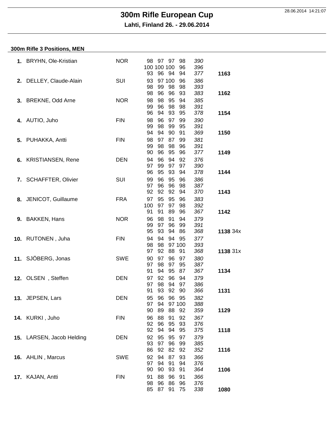**Lahti, Finland 26. - 29.06.2014**

#### **300m Rifle 3 Positions, MEN**

|    | 1. BRYHN, Ole-Kristian    | <b>NOR</b> | 390<br>98<br>97<br>97<br>98<br>100 100 100<br>96<br>396<br>93<br>96<br>94<br>94<br>377<br>1163     |
|----|---------------------------|------------|----------------------------------------------------------------------------------------------------|
|    | 2. DELLEY, Claude-Alain   | SUI        | 93<br>97 100<br>386<br>96<br>99<br>98<br>98<br>98<br>393                                           |
|    | 3. BREKNE, Odd Arne       | <b>NOR</b> | 96<br>98<br>96<br>93<br>383<br>1162<br>95<br>98<br>98<br>94<br>385<br>96<br>98<br>99<br>98<br>391  |
|    | 4. AUTIO, Juho            | <b>FIN</b> | 96<br>94<br>93<br>95<br>378<br>1154<br>98<br>96<br>97<br>99<br>390<br>99<br>98<br>99<br>95<br>391  |
|    | 5. PUHAKKA, Antti         | <b>FIN</b> | 94<br>94<br>90<br>91<br>369<br>1150<br>97<br>87<br>381<br>98<br>99<br>99<br>98<br>98<br>96<br>391  |
|    | 6. KRISTIANSEN, Rene      | <b>DEN</b> | 90<br>96<br>95<br>96<br>377<br>1149<br>96<br>94<br>92<br>94<br>376<br>99<br>97<br>97<br>97<br>390  |
|    | 7. SCHAFFTER, Olivier     | SUI        | 96<br>95<br>93<br>378<br>94<br>1144<br>96<br>95<br>99<br>96<br>386                                 |
|    | 8. JENICOT, Guillaume     | <b>FRA</b> | 96<br>96<br>97<br>98<br>387<br>92<br>92<br>92<br>370<br>94<br>1143<br>95<br>95<br>97<br>96<br>383  |
| 9. | <b>BAKKEN, Hans</b>       | <b>NOR</b> | 97<br>100<br>97<br>98<br>392<br>91<br>91<br>89<br>96<br>367<br>1142<br>98<br>96<br>91<br>94<br>379 |
|    |                           |            | 97<br>96<br>99<br>391<br>99<br>95<br>93<br>94<br>1138 34x<br>86<br>368<br>94<br>94                 |
|    | 10. RUTONEN, Juha         | <b>FIN</b> | 377<br>94<br>95<br>98<br>98<br>97 100<br>393<br>97<br>92<br>88<br>1138 31x<br>91<br>368            |
|    | 11. SJÖBERG, Jonas        | <b>SWE</b> | 97<br>96<br>90<br>97<br>380<br>97<br>98<br>97<br>95<br>387<br>91<br>94<br>95<br>87<br>367<br>1134  |
|    | 12. OLSEN, Steffen        | <b>DEN</b> | 92<br>96<br>97<br>94<br>379<br>98<br>94<br>97<br>386<br>97<br>91<br>93<br>92<br>90<br>366<br>1131  |
|    | 13. JEPSEN, Lars          | <b>DEN</b> | 96<br>95<br>96<br>95<br>382<br>97<br>94<br>97 100<br>388                                           |
|    | 14. KURKI, Juho           | <b>FIN</b> | 89<br>90<br>88<br>92<br>359<br>1129<br>88<br>91<br>96<br>92<br>367<br>96<br>95<br>92<br>93<br>376  |
|    | 15. LARSEN, Jacob Helding | <b>DEN</b> | 94<br>92<br>94<br>95<br>375<br>1118<br>95<br>95<br>92<br>97<br>379<br>97<br>96<br>93<br>99<br>385  |
|    | 16. AHLIN, Marcus         | <b>SWE</b> | 92<br>86<br>82<br>92<br>352<br>1116<br>94<br>87<br>366<br>92<br>93<br>94<br>91<br>97<br>94<br>376  |
|    | 17. KAJAN, Antti          | <b>FIN</b> | 90<br>1106<br>90<br>93<br>91<br>364<br>88<br>96<br>91<br>91<br>366                                 |
|    |                           |            | 96<br>86<br>98<br>96<br>376<br>85<br>87<br>91<br>338<br>1080<br>75                                 |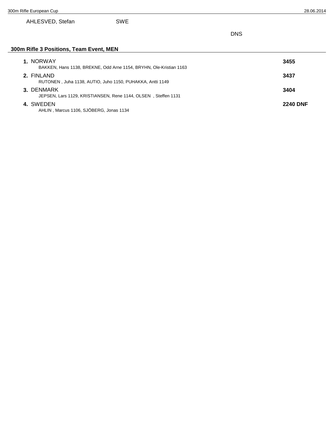#### AHLESVED, Stefan SWE

DNS

#### **300m Rifle 3 Positions, Team Event, MEN**

| 1. NORWAY<br>BAKKEN, Hans 1138, BREKNE, Odd Arne 1154, BRYHN, Ole-Kristian 1163 | 3455            |
|---------------------------------------------------------------------------------|-----------------|
| 2. FINLAND<br>RUTONEN, Juha 1138, AUTIO, Juho 1150, PUHAKKA, Antti 1149         | 3437            |
| 3. DENMARK<br>JEPSEN, Lars 1129, KRISTIANSEN, Rene 1144, OLSEN, Steffen 1131    | 3404            |
| 4. SWEDEN<br>AHLIN, Marcus 1106, SJÖBERG, Jonas 1134                            | <b>2240 DNF</b> |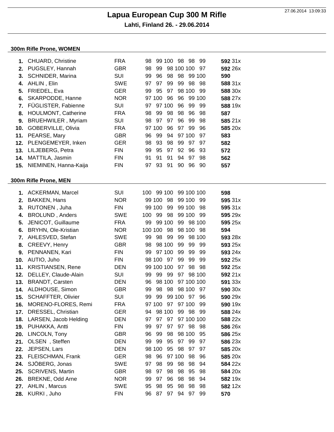**Lahti, Finland 26. - 29.06.2014**

#### **300m Rifle Prone, WOMEN**

| 1.  | CHUARD, Christine          | <b>FRA</b> | 99 100 98 98<br>99<br>98         | 592 31x |
|-----|----------------------------|------------|----------------------------------|---------|
| 2.  | PUGSLEY, Hannah            | <b>GBR</b> | 98 100 100<br>98<br>99<br>97     | 592 26x |
| 3.  | SCHNIDER, Marina           | <b>SUI</b> | 96<br>98 98<br>99 100<br>99      | 590     |
| 4.  | AHLIN, Elin                | <b>SWE</b> | 97<br>99<br>99<br>98<br>98<br>97 | 588 31x |
| 5.  | FRIEDEL, Eva               | <b>GER</b> | 95<br>97<br>98 100<br>99<br>99   | 588 30x |
| 6.  | SKARPODDE, Hanne           | <b>NOR</b> | 97 100<br>96<br>96<br>99 100     | 588 27x |
| 7.  | FÜGLISTER, Fabienne        | SUI        | 97 100<br>96<br>99<br>99<br>97   | 588 19x |
| 8.  | <b>HOULMONT, Catherine</b> | <b>FRA</b> | 98<br>98<br>98<br>99<br>96<br>98 | 587     |
| 9.  | <b>BRUEHWILER, Myriam</b>  | <b>SUI</b> | 97<br>97<br>96<br>99<br>98<br>98 | 585 21x |
| 10. | GOBERVILLE, Olivia         | <b>FRA</b> | 97 100<br>96<br>97<br>99<br>96   | 585 20x |
| 11. | PEARSE, Mary               | <b>GBR</b> | 96<br>99<br>94<br>97 100<br>97   | 583     |
| 12. | PLENGEMEYER, Inken         | <b>GER</b> | 93<br>98<br>98<br>99<br>97<br>97 | 582     |
| 13. | LILJEBERG, Petra           | <b>FIN</b> | 99<br>95<br>97<br>92<br>96<br>93 | 572     |
| 14. | MATTILA, Jasmin            | <b>FIN</b> | 91<br>91<br>94<br>91<br>97<br>98 | 562     |
|     | 15. NIEMINEN, Hanna-Kaija  | <b>FIN</b> | 97 93<br>91<br>90<br>96 90       | 557     |
|     |                            |            |                                  |         |
|     | 300m Rifle Prone, MEN      |            |                                  |         |
|     |                            |            |                                  |         |
|     | 1. ACKERMAN, Marcel        | SUI        | 100 99 100<br>99 100 100         | 598     |
| 2.  | <b>BAKKEN, Hans</b>        | <b>NOR</b> | 99 100 98<br>99 100 99           | 595 31x |
| 3.  | RUTONEN, Juha              | <b>FIN</b> | 99 100<br>99 100<br>99<br>98     | 595 31x |
| 4.  | <b>BROLUND, Anders</b>     | <b>SWE</b> | 99<br>98<br>99 100<br>100<br>-99 | 595 29x |
| 5.  | JENICOT, Guillaume         | <b>FRA</b> | 99<br>99 100<br>99 98 100        | 595 25x |
| 6.  | BRYHN, Ole-Kristian        | <b>NOR</b> | 100 100 98<br>98 100 98          | 594     |
| 7.  | AHLESVED, Stefan           | <b>SWE</b> | 98<br>99<br>99<br>99<br>98 100   | 593 28x |
| 8.  | CREEVY, Henry              | <b>GBR</b> | 98 100<br>99<br>99<br>98<br>99   | 593 25x |
| 9.  | PENNANEN, Kari             | <b>FIN</b> | 97 100<br>99<br>99<br>99<br>99   | 593 24x |
| 10. | AUTIO, Juho                | <b>FIN</b> | 98 100 97<br>99<br>99<br>99      | 592 25x |
| 11. | <b>KRISTIANSEN, Rene</b>   | <b>DEN</b> | 99 100 100<br>97<br>98<br>98     | 592 25x |
| 12. | DELLEY, Claude-Alain       | <b>SUI</b> | 99<br>97 98 100<br>99<br>99      | 592 21x |
| 13. | <b>BRANDT, Carsten</b>     | <b>DEN</b> | 98 100<br>97 100 100<br>96       | 591 33x |
| 14. | ALDHOUSE, Simon            | <b>GBR</b> | 98<br>98<br>98 100<br>99<br>97   | 590 30x |
|     | 15. SCHAFFTER, Olivier     | <b>SUI</b> | 99<br>99 100 97 96<br>99         | 590 29x |
| 16. | MORENO-FLORES, Remi        | <b>FRA</b> | 97 100 97<br>97 100<br>99        | 590 19x |
| 17. | DRESSEL, Christian         | <b>GER</b> | 94 98 100<br>99 98<br>99         | 588 24x |
| 18. | LARSEN, Jacob Helding      | <b>DEN</b> | 97 100 100<br>97 97<br>97        | 588 22x |
| 19. | PUHAKKA, Antti             | <b>FIN</b> | 97<br>97<br>97 98<br>99<br>98    | 586 26x |
| 20. | LINCOLN, Tony              | <b>GBR</b> | 96<br>99<br>98<br>98 100<br>95   | 586 25x |
| 21. | OLSEN, Steffen             | <b>DEN</b> | 99<br>95<br>97 99<br>99<br>97    | 586 23x |
| 22. | JEPSEN, Lars               | <b>DEN</b> | 95 98<br>98 100<br>97<br>97      | 585 20x |
| 23. | FLEISCHMAN, Frank          | <b>GER</b> | 98<br>96<br>97 100<br>98<br>96   | 585 20x |
| 24. | SJÖBERG, Jonas             | <b>SWE</b> | 98<br>99 98<br>98<br>97<br>94    | 584 22x |
| 25. | <b>SCRIVENS, Martin</b>    | <b>GBR</b> | 97<br>98<br>98<br>95<br>98<br>98 | 584 20x |
| 26. | BREKNE, Odd Arne           | <b>NOR</b> | 97<br>96<br>98<br>98<br>99<br>94 | 582 19x |
|     | 27. AHLIN, Marcus          | <b>SWE</b> | 98<br>95<br>98<br>98<br>95<br>98 | 582 12x |
|     | 28. KURKI, Juho            | <b>FIN</b> | 97 94 97 99<br>96<br>87          | 570     |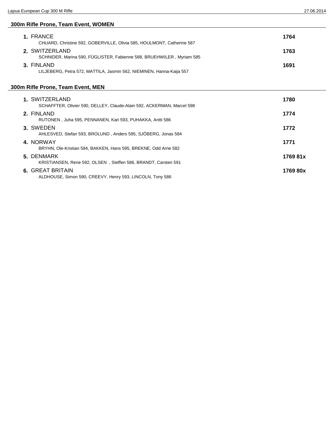#### **300m Rifle Prone, Team Event, WOMEN**

| 1. FRANCE<br>CHUARD, Christine 592, GOBERVILLE, Olivia 585, HOULMONT, Catherine 587     | 1764 |
|-----------------------------------------------------------------------------------------|------|
| 2. SWITZERLAND<br>SCHNIDER, Marina 590, FÜGLISTER, Fabienne 588, BRUEHWILER, Myriam 585 | 1763 |
| 3. FINLAND<br>LILJEBERG, Petra 572, MATTILA, Jasmin 562, NIEMINEN, Hanna-Kaija 557      | 1691 |

#### **300m Rifle Prone, Team Event, MEN**

| 1. SWITZERLAND<br>SCHAFFTER, Olivier 590, DELLEY, Claude-Alain 592, ACKERMAN, Marcel 598 | 1780     |
|------------------------------------------------------------------------------------------|----------|
| 2. FINLAND<br>RUTONEN. Juha 595. PENNANEN. Kari 593. PUHAKKA. Antti 586                  | 1774     |
| 3. SWEDEN<br>AHLESVED, Stefan 593, BROLUND, Anders 595, SJÖBERG, Jonas 584               | 1772     |
| 4. NORWAY<br>BRYHN, Ole-Kristian 594, BAKKEN, Hans 595, BREKNE, Odd Arne 582             | 1771     |
| 5. DENMARK<br>KRISTIANSEN, Rene 592, OLSEN, Steffen 586, BRANDT, Carsten 591             | 1769 81x |
| 6. GREAT BRITAIN<br>ALDHOUSE, Simon 590, CREEVY, Henry 593, LINCOLN, Tony 586            | 1769 80x |